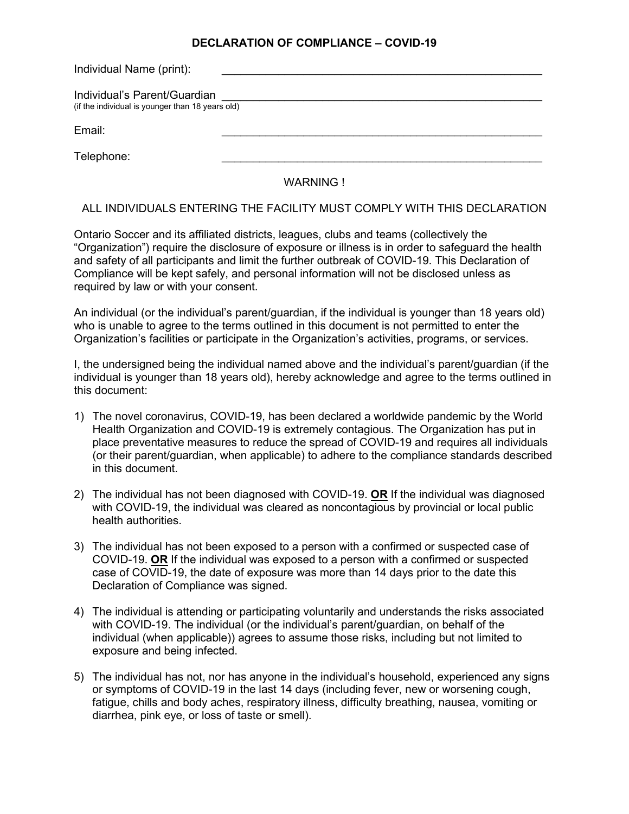## **DECLARATION OF COMPLIANCE – COVID-19**

| Individual Name (print):                                                         |  |
|----------------------------------------------------------------------------------|--|
| Individual's Parent/Guardian<br>(if the individual is younger than 18 years old) |  |
| Email:                                                                           |  |
| Telephone:                                                                       |  |
|                                                                                  |  |

WARNING !

## ALL INDIVIDUALS ENTERING THE FACILITY MUST COMPLY WITH THIS DECLARATION

Ontario Soccer and its affiliated districts, leagues, clubs and teams (collectively the "Organization") require the disclosure of exposure or illness is in order to safeguard the health and safety of all participants and limit the further outbreak of COVID-19. This Declaration of Compliance will be kept safely, and personal information will not be disclosed unless as required by law or with your consent.

An individual (or the individual's parent/guardian, if the individual is younger than 18 years old) who is unable to agree to the terms outlined in this document is not permitted to enter the Organization's facilities or participate in the Organization's activities, programs, or services.

I, the undersigned being the individual named above and the individual's parent/guardian (if the individual is younger than 18 years old), hereby acknowledge and agree to the terms outlined in this document:

- 1) The novel coronavirus, COVID-19, has been declared a worldwide pandemic by the World Health Organization and COVID-19 is extremely contagious. The Organization has put in place preventative measures to reduce the spread of COVID-19 and requires all individuals (or their parent/guardian, when applicable) to adhere to the compliance standards described in this document.
- 2) The individual has not been diagnosed with COVID-19. **OR** If the individual was diagnosed with COVID-19, the individual was cleared as noncontagious by provincial or local public health authorities.
- 3) The individual has not been exposed to a person with a confirmed or suspected case of COVID-19. **OR** If the individual was exposed to a person with a confirmed or suspected case of COVID-19, the date of exposure was more than 14 days prior to the date this Declaration of Compliance was signed.
- 4) The individual is attending or participating voluntarily and understands the risks associated with COVID-19. The individual (or the individual's parent/guardian, on behalf of the individual (when applicable)) agrees to assume those risks, including but not limited to exposure and being infected.
- 5) The individual has not, nor has anyone in the individual's household, experienced any signs or symptoms of COVID-19 in the last 14 days (including fever, new or worsening cough, fatigue, chills and body aches, respiratory illness, difficulty breathing, nausea, vomiting or diarrhea, pink eye, or loss of taste or smell).